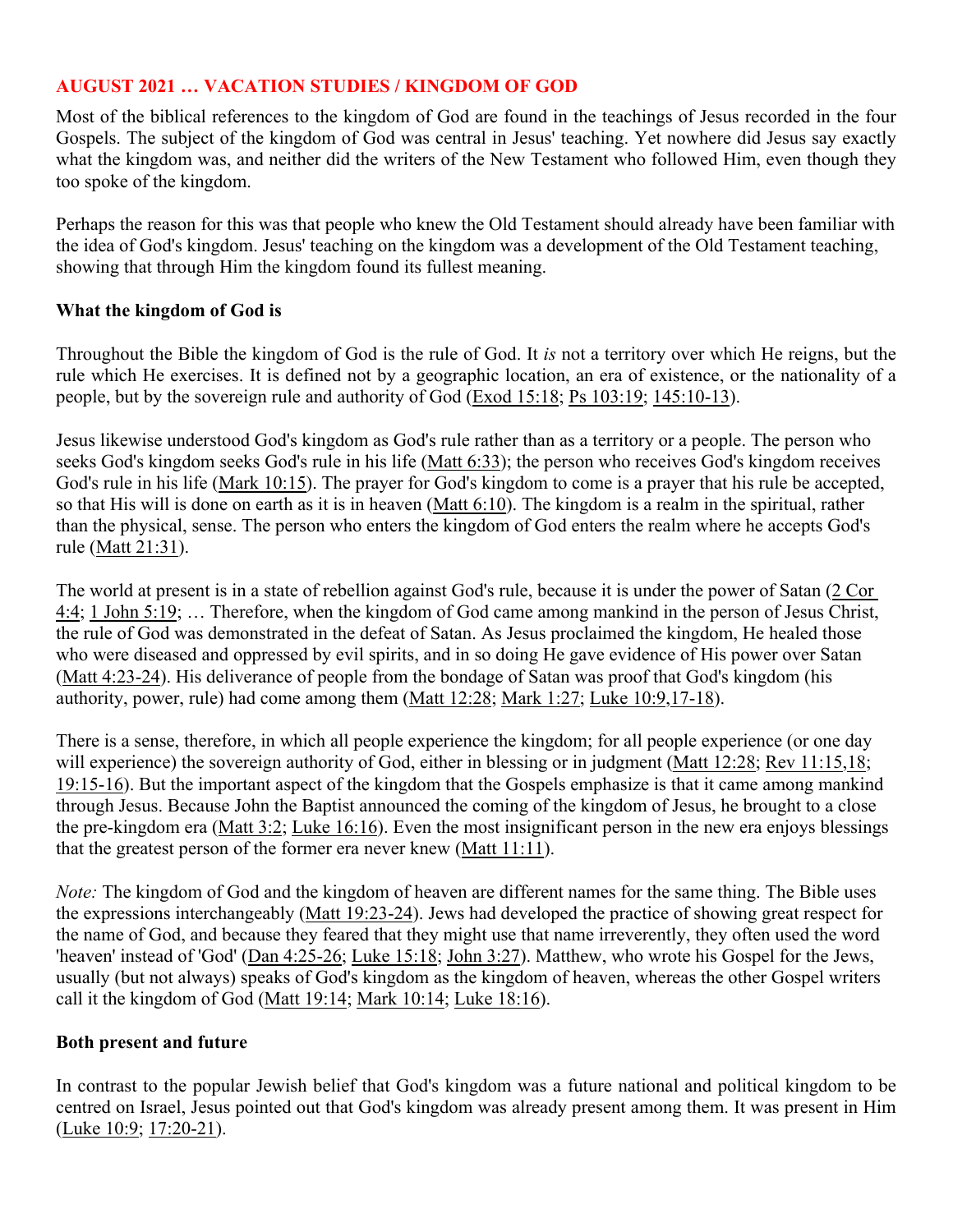# **AUGUST 2021 … VACATION STUDIES / KINGDOM OF GOD**

Most of the biblical references to the kingdom of God are found in the teachings of Jesus recorded in the four Gospels. The subject of the kingdom of God was central in Jesus' teaching. Yet nowhere did Jesus say exactly what the kingdom was, and neither did the writers of the New Testament who followed Him, even though they too spoke of the kingdom.

Perhaps the reason for this was that people who knew the Old Testament should already have been familiar with the idea of God's kingdom. Jesus' teaching on the kingdom was a development of the Old Testament teaching, showing that through Him the kingdom found its fullest meaning.

#### **What the kingdom of God is**

Throughout the Bible the kingdom of God is the rule of God. It *is* not a territory over which He reigns, but the rule which He exercises. It is defined not by a geographic location, an era of existence, or the nationality of a people, but by the sovereign rule and authority of God ([Exod 15:18](http://www.crossbooks.com/verse.asp?ref=Ex+15%3A18); [Ps 103:19](http://www.crossbooks.com/verse.asp?ref=Ps+103%3A19); [145:10-13\)](http://www.crossbooks.com/verse.asp?ref=Ps+145%3A10-13).

Jesus likewise understood God's kingdom as God's rule rather than as a territory or a people. The person who seeks God's kingdom seeks God's rule in his life ([Matt 6:33\)](http://www.crossbooks.com/verse.asp?ref=Mt+6%3A33); the person who receives God's kingdom receives God's rule in his life [\(Mark 10:15\)](http://www.crossbooks.com/verse.asp?ref=Mk+10%3A15). The prayer for God's kingdom to come is a prayer that his rule be accepted, so that His will is done on earth as it is in heaven [\(Matt 6:10](http://www.crossbooks.com/verse.asp?ref=Mt+6%3A10)). The kingdom is a realm in the spiritual, rather than the physical, sense. The person who enters the kingdom of God enters the realm where he accepts God's rule ([Matt 21:31\)](http://www.crossbooks.com/verse.asp?ref=Mt+21%3A31).

The world at present is in a state of rebellion against God's rule, because it is under the power of Satan ([2 Cor](http://www.crossbooks.com/verse.asp?ref=2Co+4%3A4)  [4:4](http://www.crossbooks.com/verse.asp?ref=2Co+4%3A4); [1 John 5:19;](http://www.crossbooks.com/verse.asp?ref=1Jn+5%3A19) … Therefore, when the kingdom of God came among mankind in the person of Jesus Christ, the rule of God was demonstrated in the defeat of Satan. As Jesus proclaimed the kingdom, He healed those who were diseased and oppressed by evil spirits, and in so doing He gave evidence of His power over Satan ([Matt 4:23-24\)](http://www.crossbooks.com/verse.asp?ref=Mt+4%3A23-24). His deliverance of people from the bondage of Satan was proof that God's kingdom (his authority, power, rule) had come among them ([Matt 12:28;](http://www.crossbooks.com/verse.asp?ref=Mt+12%3A28) [Mark 1:27;](http://www.crossbooks.com/verse.asp?ref=Mk+1%3A27) [Luke 10:9,](http://www.crossbooks.com/verse.asp?ref=Lk+10%3A9)[17-18\)](http://www.crossbooks.com/verse.asp?ref=Lk+10%3A17-18).

There is a sense, therefore, in which all people experience the kingdom; for all people experience (or one day will experience) the sovereign authority of God, either in blessing or in judgment ([Matt 12:28;](http://www.crossbooks.com/verse.asp?ref=Mt+12%3A28) [Rev 11:15,](http://www.crossbooks.com/verse.asp?ref=Rev+11%3A15)[18;](http://www.crossbooks.com/verse.asp?ref=Rev+11%3A18) [19:15-16](http://www.crossbooks.com/verse.asp?ref=Rev+19%3A15-16)). But the important aspect of the kingdom that the Gospels emphasize is that it came among mankind through Jesus. Because John the Baptist announced the coming of the kingdom of Jesus, he brought to a close the pre-kingdom era [\(Matt 3:2](http://www.crossbooks.com/verse.asp?ref=Mt+3%3A2); [Luke 16:16\)](http://www.crossbooks.com/verse.asp?ref=Lk+16%3A16). Even the most insignificant person in the new era enjoys blessings that the greatest person of the former era never knew ([Matt 11:11\)](http://www.crossbooks.com/verse.asp?ref=Mt+11%3A11).

*Note:* The kingdom of God and the kingdom of heaven are different names for the same thing. The Bible uses the expressions interchangeably [\(Matt 19:23-24](http://www.crossbooks.com/verse.asp?ref=Mt+19%3A23-24)). Jews had developed the practice of showing great respect for the name of God, and because they feared that they might use that name irreverently, they often used the word 'heaven' instead of 'God' [\(Dan 4:25-26;](http://www.crossbooks.com/verse.asp?ref=Da+4%3A25-26) [Luke 15:18;](http://www.crossbooks.com/verse.asp?ref=Lk+15%3A18) [John 3:27](http://www.crossbooks.com/verse.asp?ref=Jn+3%3A27)). Matthew, who wrote his Gospel for the Jews, usually (but not always) speaks of God's kingdom as the kingdom of heaven, whereas the other Gospel writers call it the kingdom of God ([Matt 19:14;](http://www.crossbooks.com/verse.asp?ref=Mt+19%3A14) [Mark 10:14;](http://www.crossbooks.com/verse.asp?ref=Mk+10%3A14) [Luke 18:16\)](http://www.crossbooks.com/verse.asp?ref=Lk+18%3A16).

### **Both present and future**

In contrast to the popular Jewish belief that God's kingdom was a future national and political kingdom to be centred on Israel, Jesus pointed out that God's kingdom was already present among them. It was present in Him ([Luke 10:9;](http://www.crossbooks.com/verse.asp?ref=Lk+10%3A9) [17:20-21\)](http://www.crossbooks.com/verse.asp?ref=Lk+17%3A20-21).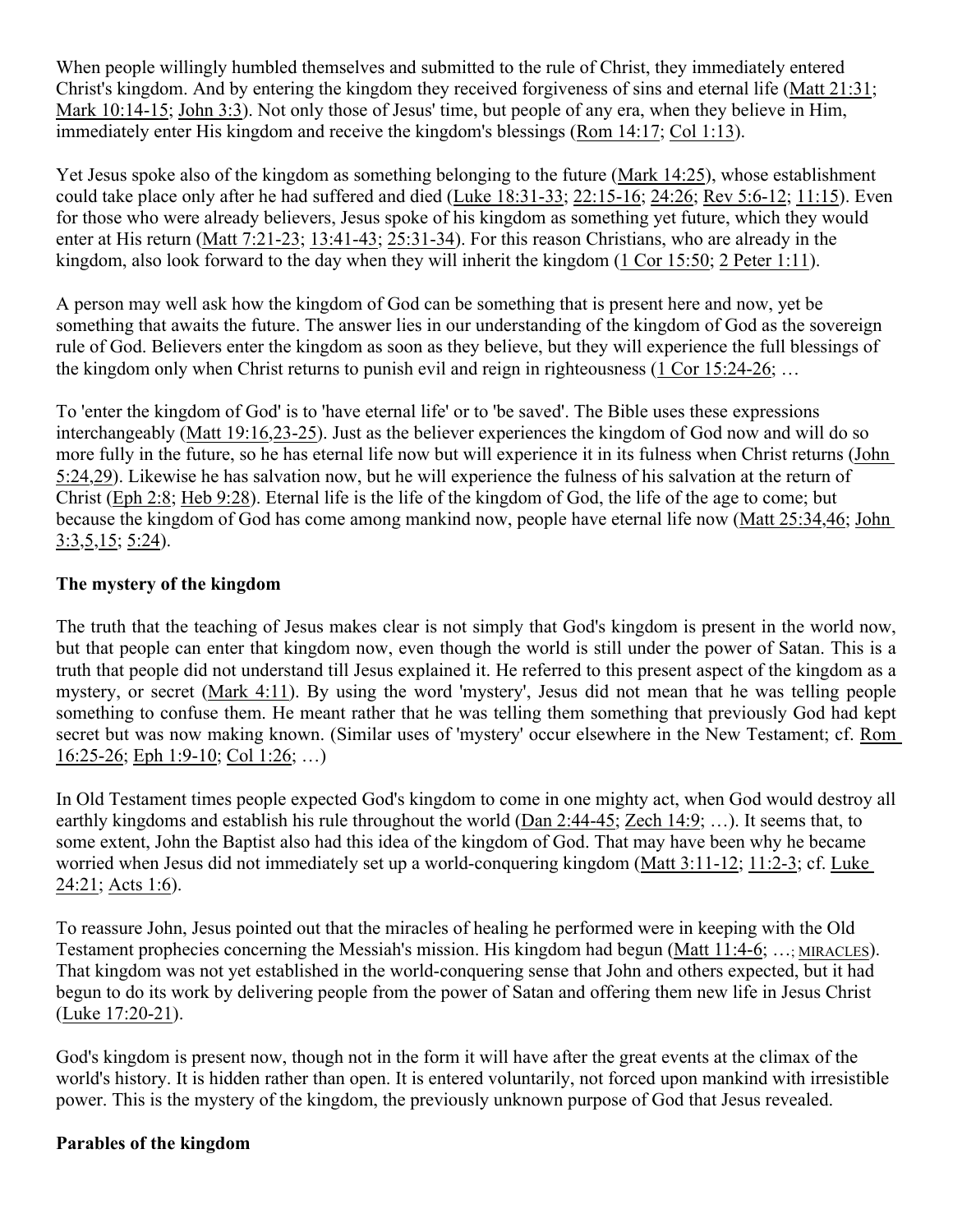When people willingly humbled themselves and submitted to the rule of Christ, they immediately entered Christ's kingdom. And by entering the kingdom they received forgiveness of sins and eternal life [\(Matt 21:31](http://www.crossbooks.com/verse.asp?ref=Mt+21%3A31); [Mark 10:14-15](http://www.crossbooks.com/verse.asp?ref=Mk+10%3A14-15); [John 3:3\)](http://www.crossbooks.com/verse.asp?ref=Jn+3%3A3). Not only those of Jesus' time, but people of any era, when they believe in Him, immediately enter His kingdom and receive the kingdom's blessings [\(Rom 14:17](http://www.crossbooks.com/verse.asp?ref=Ro+14%3A17); [Col 1:13](http://www.crossbooks.com/verse.asp?ref=Col+1%3A13)).

Yet Jesus spoke also of the kingdom as something belonging to the future ([Mark 14:25](http://www.crossbooks.com/verse.asp?ref=Mk+14%3A25)), whose establishment could take place only after he had suffered and died [\(Luke 18:31-33](http://www.crossbooks.com/verse.asp?ref=Lk+18%3A31-33); [22:15-16;](http://www.crossbooks.com/verse.asp?ref=Lk+22%3A15-16) [24:26;](http://www.crossbooks.com/verse.asp?ref=Lk+24%3A26) [Rev 5:6-12;](http://www.crossbooks.com/verse.asp?ref=Rev+5%3A6-12) [11:15](http://www.crossbooks.com/verse.asp?ref=Rev+11%3A15)). Even for those who were already believers, Jesus spoke of his kingdom as something yet future, which they would enter at His return ([Matt 7:21-23;](http://www.crossbooks.com/verse.asp?ref=Mt+7%3A21-23) [13:41-43;](http://www.crossbooks.com/verse.asp?ref=Mt+13%3A41-43) [25:31-34](http://www.crossbooks.com/verse.asp?ref=Mt+25%3A31-34)). For this reason Christians, who are already in the kingdom, also look forward to the day when they will inherit the kingdom ([1 Cor 15:50;](http://www.crossbooks.com/verse.asp?ref=1Co+15%3A50) [2 Peter 1:11](http://www.crossbooks.com/verse.asp?ref=2Pe+1%3A11)).

A person may well ask how the kingdom of God can be something that is present here and now, yet be something that awaits the future. The answer lies in our understanding of the kingdom of God as the sovereign rule of God. Believers enter the kingdom as soon as they believe, but they will experience the full blessings of the kingdom only when Christ returns to punish evil and reign in righteousness [\(1 Cor 15:24-26;](http://www.crossbooks.com/verse.asp?ref=1Co+15%3A24-26) …

To 'enter the kingdom of God' is to 'have eternal life' or to 'be saved'. The Bible uses these expressions interchangeably ([Matt 19:16,](http://www.crossbooks.com/verse.asp?ref=Mt+19%3A16)[23-25\)](http://www.crossbooks.com/verse.asp?ref=Mt+19%3A23-25). Just as the believer experiences the kingdom of God now and will do so more fully in the future, so he has eternal life now but will experience it in its fulness when Christ returns ([John](http://www.crossbooks.com/verse.asp?ref=Jn+5%3A24)  [5:24](http://www.crossbooks.com/verse.asp?ref=Jn+5%3A24)[,29](http://www.crossbooks.com/verse.asp?ref=Jn+5%3A29)). Likewise he has salvation now, but he will experience the fulness of his salvation at the return of Christ [\(Eph 2:8;](http://www.crossbooks.com/verse.asp?ref=Eph+2%3A8) [Heb 9:28\)](http://www.crossbooks.com/verse.asp?ref=Heb+9%3A28). Eternal life is the life of the kingdom of God, the life of the age to come; but because the kingdom of God has come among mankind now, people have eternal life now ([Matt 25:34](http://www.crossbooks.com/verse.asp?ref=Mt+25%3A34)[,46](http://www.crossbooks.com/verse.asp?ref=Mt+25%3A46); [John](http://www.crossbooks.com/verse.asp?ref=Jn+3%3A3)  [3:3](http://www.crossbooks.com/verse.asp?ref=Jn+3%3A3)[,5](http://www.crossbooks.com/verse.asp?ref=Jn+3%3A5)[,15](http://www.crossbooks.com/verse.asp?ref=Jn+3%3A15); [5:24](http://www.crossbooks.com/verse.asp?ref=Jn+5%3A24)).

## **The mystery of the kingdom**

The truth that the teaching of Jesus makes clear is not simply that God's kingdom is present in the world now, but that people can enter that kingdom now, even though the world is still under the power of Satan. This is a truth that people did not understand till Jesus explained it. He referred to this present aspect of the kingdom as a mystery, or secret ([Mark 4:11\)](http://www.crossbooks.com/verse.asp?ref=Mk+4%3A11). By using the word 'mystery', Jesus did not mean that he was telling people something to confuse them. He meant rather that he was telling them something that previously God had kept secret but was now making known. (Similar uses of 'mystery' occur elsewhere in the New Testament; cf. [Rom](http://www.crossbooks.com/verse.asp?ref=Ro+16%3A25-26)  [16:25-26](http://www.crossbooks.com/verse.asp?ref=Ro+16%3A25-26); [Eph 1:9-10](http://www.crossbooks.com/verse.asp?ref=Eph+1%3A9-10); [Col 1:26](http://www.crossbooks.com/verse.asp?ref=Col+1%3A26); …)

In Old Testament times people expected God's kingdom to come in one mighty act, when God would destroy all earthly kingdoms and establish his rule throughout the world ([Dan 2:44-45](http://www.crossbooks.com/verse.asp?ref=Da+2%3A44-45); [Zech 14:9;](http://www.crossbooks.com/verse.asp?ref=Zec+14%3A9) …). It seems that, to some extent, John the Baptist also had this idea of the kingdom of God. That may have been why he became worried when Jesus did not immediately set up a world-conquering kingdom ([Matt 3:11-12;](http://www.crossbooks.com/verse.asp?ref=Mt+3%3A11-12) [11:2-3](http://www.crossbooks.com/verse.asp?ref=Mt+11%3A2-3); cf. [Luke](http://www.crossbooks.com/verse.asp?ref=Lk+24%3A21)  [24:21](http://www.crossbooks.com/verse.asp?ref=Lk+24%3A21); [Acts 1:6\)](http://www.crossbooks.com/verse.asp?ref=Ac+1%3A6).

To reassure John, Jesus pointed out that the miracles of healing he performed were in keeping with the Old Testament prophecies concerning the Messiah's mission. His kingdom had begun ([Matt 11:4-6](http://www.crossbooks.com/verse.asp?ref=Mt+11%3A4-6); …; [MIRACLES](http://www.crossbooks.com/book.asp?pub=0&book=2077&sec=00004174)). That kingdom was not yet established in the world-conquering sense that John and others expected, but it had begun to do its work by delivering people from the power of Satan and offering them new life in Jesus Christ ([Luke 17:20-21\)](http://www.crossbooks.com/verse.asp?ref=Lk+17%3A20-21).

God's kingdom is present now, though not in the form it will have after the great events at the climax of the world's history. It is hidden rather than open. It is entered voluntarily, not forced upon mankind with irresistible power. This is the mystery of the kingdom, the previously unknown purpose of God that Jesus revealed.

### **Parables of the kingdom**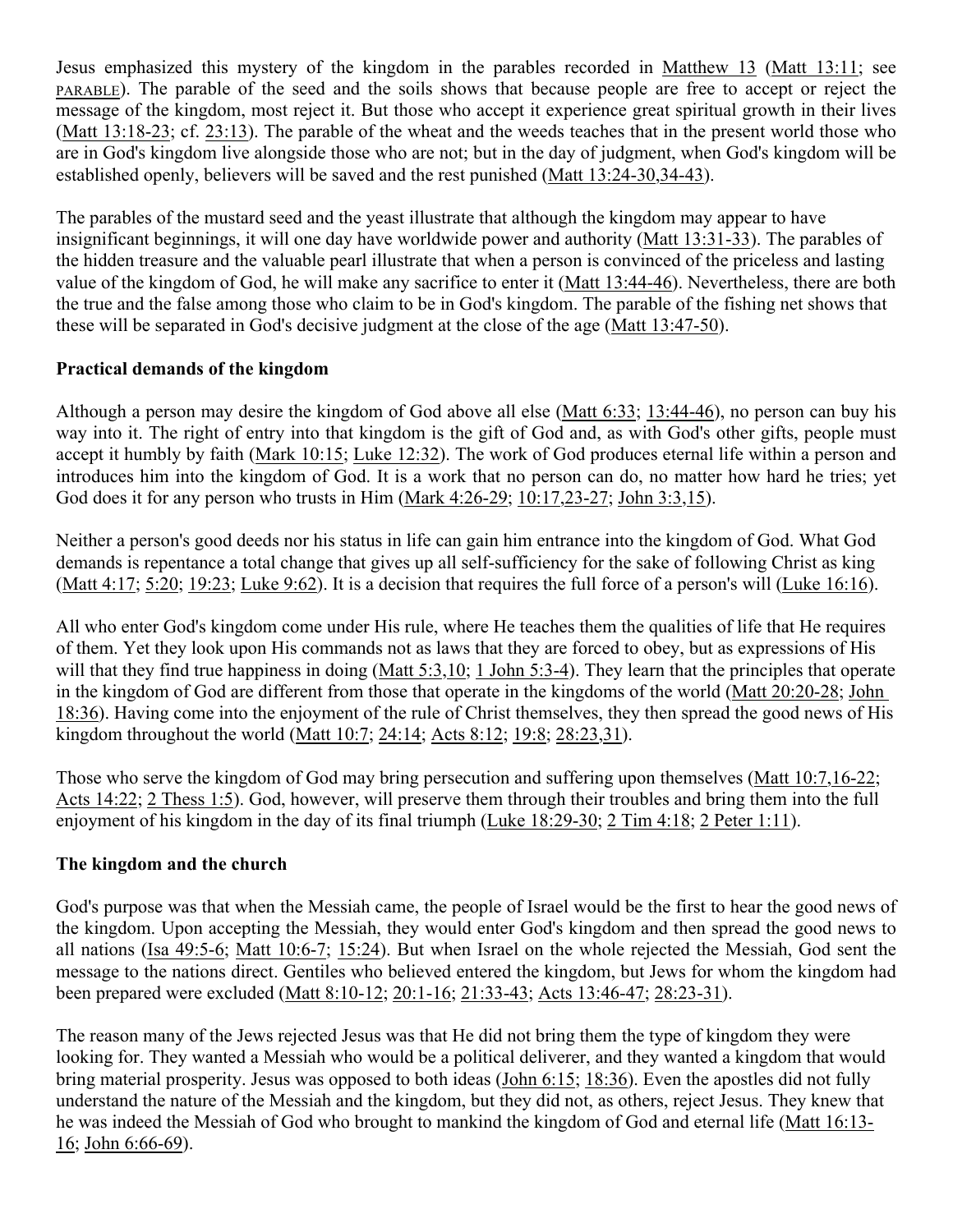Jesus emphasized this mystery of the kingdom in the parables recorded in [Matthew 13](http://www.crossbooks.com/verse.asp?ref=Mt+13) ([Matt 13:11;](http://www.crossbooks.com/verse.asp?ref=Mt+13%3A11) see [PARABLE](http://www.crossbooks.com/book.asp?pub=0&book=2077&sec=00004573)). The parable of the seed and the soils shows that because people are free to accept or reject the message of the kingdom, most reject it. But those who accept it experience great spiritual growth in their lives ([Matt 13:18-23](http://www.crossbooks.com/verse.asp?ref=Mt+13%3A18-23); cf. [23:13](http://www.crossbooks.com/verse.asp?ref=Mt+23%3A13)). The parable of the wheat and the weeds teaches that in the present world those who are in God's kingdom live alongside those who are not; but in the day of judgment, when God's kingdom will be established openly, believers will be saved and the rest punished ([Matt 13:24-30](http://www.crossbooks.com/verse.asp?ref=Mt+13%3A24-30)[,34-43](http://www.crossbooks.com/verse.asp?ref=Mt+13%3A34-43)).

The parables of the mustard seed and the yeast illustrate that although the kingdom may appear to have insignificant beginnings, it will one day have worldwide power and authority ([Matt 13:31-33](http://www.crossbooks.com/verse.asp?ref=Mt+13%3A31-33)). The parables of the hidden treasure and the valuable pearl illustrate that when a person is convinced of the priceless and lasting value of the kingdom of God, he will make any sacrifice to enter it ([Matt 13:44-46\)](http://www.crossbooks.com/verse.asp?ref=Mt+13%3A44-46). Nevertheless, there are both the true and the false among those who claim to be in God's kingdom. The parable of the fishing net shows that these will be separated in God's decisive judgment at the close of the age ([Matt 13:47-50\)](http://www.crossbooks.com/verse.asp?ref=Mt+13%3A47-50).

## **Practical demands of the kingdom**

Although a person may desire the kingdom of God above all else [\(Matt 6:33;](http://www.crossbooks.com/verse.asp?ref=Mt+6%3A33) [13:44-46\)](http://www.crossbooks.com/verse.asp?ref=Mt+13%3A44-46), no person can buy his way into it. The right of entry into that kingdom is the gift of God and, as with God's other gifts, people must accept it humbly by faith [\(Mark 10:15;](http://www.crossbooks.com/verse.asp?ref=Mk+10%3A15) [Luke 12:32](http://www.crossbooks.com/verse.asp?ref=Lk+12%3A32)). The work of God produces eternal life within a person and introduces him into the kingdom of God. It is a work that no person can do, no matter how hard he tries; yet God does it for any person who trusts in Him ([Mark 4:26-29](http://www.crossbooks.com/verse.asp?ref=Mk+4%3A26-29); [10:17,](http://www.crossbooks.com/verse.asp?ref=Mk+10%3A17)[23-27;](http://www.crossbooks.com/verse.asp?ref=Mk+10%3A23-27) [John 3:3](http://www.crossbooks.com/verse.asp?ref=Jn+3%3A3)[,15](http://www.crossbooks.com/verse.asp?ref=Jn+3%3A15)).

Neither a person's good deeds nor his status in life can gain him entrance into the kingdom of God. What God demands is repentance a total change that gives up all self-sufficiency for the sake of following Christ as king ([Matt 4:17;](http://www.crossbooks.com/verse.asp?ref=Mt+4%3A17) [5:20;](http://www.crossbooks.com/verse.asp?ref=Mt+5%3A20) [19:23](http://www.crossbooks.com/verse.asp?ref=Mt+19%3A23); [Luke 9:62\)](http://www.crossbooks.com/verse.asp?ref=Lk+9%3A62). It is a decision that requires the full force of a person's will ([Luke 16:16\)](http://www.crossbooks.com/verse.asp?ref=Lk+16%3A16).

All who enter God's kingdom come under His rule, where He teaches them the qualities of life that He requires of them. Yet they look upon His commands not as laws that they are forced to obey, but as expressions of His will that they find true happiness in doing [\(Matt 5:3](http://www.crossbooks.com/verse.asp?ref=Mt+5%3A3)[,10](http://www.crossbooks.com/verse.asp?ref=Mt+5%3A10); [1 John 5:3-4\)](http://www.crossbooks.com/verse.asp?ref=1Jn+5%3A3-4). They learn that the principles that operate in the kingdom of God are different from those that operate in the kingdoms of the world ([Matt 20:20-28](http://www.crossbooks.com/verse.asp?ref=Mt+20%3A20-28); [John](http://www.crossbooks.com/verse.asp?ref=Jn+18%3A36)  [18:36](http://www.crossbooks.com/verse.asp?ref=Jn+18%3A36)). Having come into the enjoyment of the rule of Christ themselves, they then spread the good news of His kingdom throughout the world ([Matt 10:7;](http://www.crossbooks.com/verse.asp?ref=Mt+10%3A7) [24:14;](http://www.crossbooks.com/verse.asp?ref=Mt+24%3A14) [Acts 8:12](http://www.crossbooks.com/verse.asp?ref=Ac+8%3A12); [19:8;](http://www.crossbooks.com/verse.asp?ref=Ac+19%3A8) [28:23,](http://www.crossbooks.com/verse.asp?ref=Ac+28%3A23)[31\)](http://www.crossbooks.com/verse.asp?ref=Ac+28%3A31).

Those who serve the kingdom of God may bring persecution and suffering upon themselves ([Matt 10:7,](http://www.crossbooks.com/verse.asp?ref=Mt+10%3A7)[16-22;](http://www.crossbooks.com/verse.asp?ref=Mt+10%3A16-22) [Acts 14:22](http://www.crossbooks.com/verse.asp?ref=Ac+14%3A22); [2 Thess 1:5\)](http://www.crossbooks.com/verse.asp?ref=2Th+1%3A5). God, however, will preserve them through their troubles and bring them into the full enjoyment of his kingdom in the day of its final triumph ([Luke 18:29-30;](http://www.crossbooks.com/verse.asp?ref=Lk+18%3A29-30) [2 Tim 4:18;](http://www.crossbooks.com/verse.asp?ref=2Ti+4%3A18) [2 Peter 1:11\)](http://www.crossbooks.com/verse.asp?ref=2Pe+1%3A11).

### **The kingdom and the church**

God's purpose was that when the Messiah came, the people of Israel would be the first to hear the good news of the kingdom. Upon accepting the Messiah, they would enter God's kingdom and then spread the good news to all nations ([Isa 49:5-6](http://www.crossbooks.com/verse.asp?ref=Isa+49%3A5-6); [Matt 10:6-7;](http://www.crossbooks.com/verse.asp?ref=Mt+10%3A6-7) [15:24](http://www.crossbooks.com/verse.asp?ref=Mt+15%3A24)). But when Israel on the whole rejected the Messiah, God sent the message to the nations direct. Gentiles who believed entered the kingdom, but Jews for whom the kingdom had been prepared were excluded [\(Matt 8:10-12](http://www.crossbooks.com/verse.asp?ref=Mt+8%3A10-12); [20:1-16;](http://www.crossbooks.com/verse.asp?ref=Mt+20%3A1-16) [21:33-43;](http://www.crossbooks.com/verse.asp?ref=Mt+21%3A33-43) [Acts 13:46-47](http://www.crossbooks.com/verse.asp?ref=Ac+13%3A46-47); [28:23-31\)](http://www.crossbooks.com/verse.asp?ref=Ac+28%3A23-31).

The reason many of the Jews rejected Jesus was that He did not bring them the type of kingdom they were looking for. They wanted a Messiah who would be a political deliverer, and they wanted a kingdom that would bring material prosperity. Jesus was opposed to both ideas ([John 6:15;](http://www.crossbooks.com/verse.asp?ref=Jn+6%3A15) [18:36](http://www.crossbooks.com/verse.asp?ref=Jn+18%3A36)). Even the apostles did not fully understand the nature of the Messiah and the kingdom, but they did not, as others, reject Jesus. They knew that he was indeed the Messiah of God who brought to mankind the kingdom of God and eternal life ([Matt 16:13-](http://www.crossbooks.com/verse.asp?ref=Mt+16%3A13-16) [16](http://www.crossbooks.com/verse.asp?ref=Mt+16%3A13-16); [John 6:66-69](http://www.crossbooks.com/verse.asp?ref=Jn+6%3A66-69)).